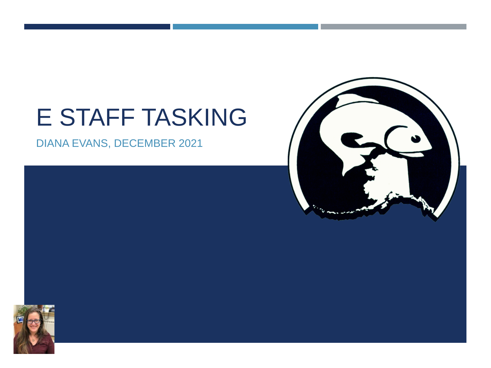## E STAFF TASKING

DIANA EVANS, DECEMBER 2021



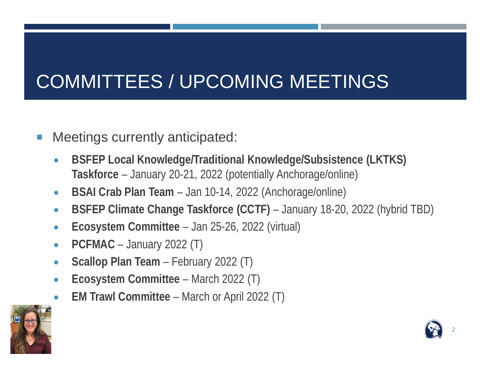### COMMITTEES / UPCOMING MEETINGS

- **Meetings currently anticipated:** 
	- **BSFEP Local Knowledge/Traditional Knowledge/Subsistence (LKTKS) Taskforce** – January 20-21, 2022 (potentially Anchorage/online)
	- **BSAI Crab Plan Team** Jan 10-14, 2022 (Anchorage/online)
	- **BSFEP Climate Change Taskforce (CCTF)** January 18-20, 2022 (hybrid TBD)
	- **Ecosystem Committee** Jan 25-26, 2022 (virtual)
	- **PCFMAC** January 2022 (T)
	- **Scallop Plan Team** February 2022 (T)
	- **Ecosystem Committee** March 2022 (T)
	- **EM Trawl Committee**  March or April 2022 (T)



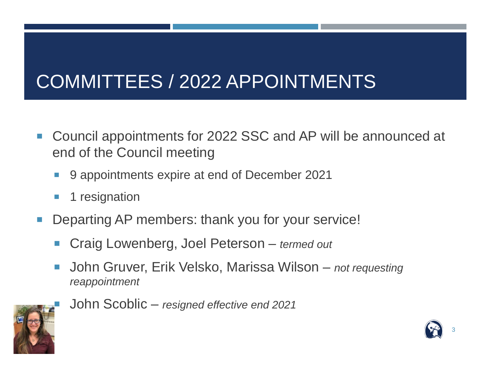#### COMMITTEES / 2022 APPOINTMENTS

- Council appointments for 2022 SSC and AP will be announced at end of the Council meeting
	- 9 appointments expire at end of December 2021
	- **1** 1 resignation
- Departing AP members: thank you for your service!
	- Craig Lowenberg, Joel Peterson *termed out*
	- John Gruver, Erik Velsko, Marissa Wilson *not requesting reappointment*



John Scoblic – *resigned effective end 2021*

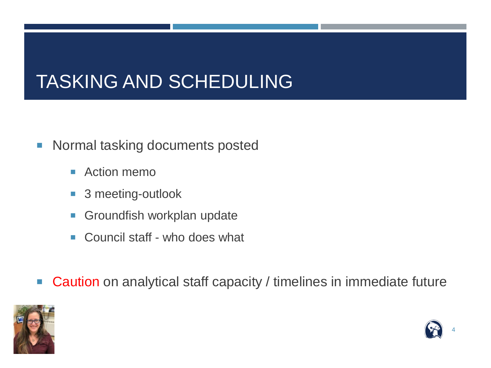#### TASKING AND SCHEDULING

- **Normal tasking documents posted** 
	- Action memo
	- 3 meeting-outlook
	- **Groundfish workplan update**
	- Council staff who does what
- Caution on analytical staff capacity / timelines in immediate future



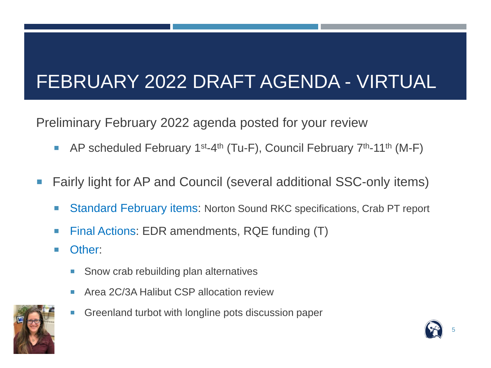#### FEBRUARY 2022 DRAFT AGENDA - VIRTUAL

Preliminary February 2022 agenda posted for your review

- AP scheduled February 1<sup>st-4th</sup> (Tu-F), Council February  $7<sup>th</sup>$ -11<sup>th</sup> (M-F)
- Fairly light for AP and Council (several additional SSC-only items)
	- Standard February items: Norton Sound RKC specifications, Crab PT report
	- Final Actions: EDR amendments, RQE funding (T)
	- **D** Other:
		- **Show crab rebuilding plan alternatives**
		- Area 2C/3A Halibut CSP allocation review



Greenland turbot with longline pots discussion paper

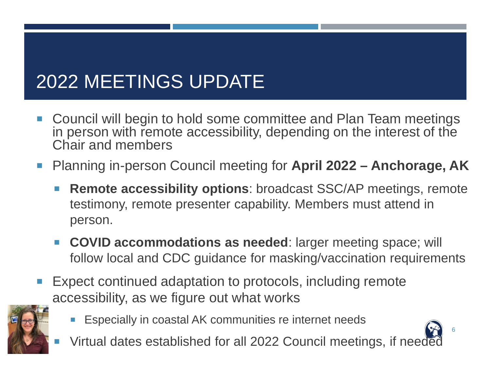### 2022 MEETINGS UPDATE

- Council will begin to hold some committee and Plan Team meetings in person with remote accessibility, depending on the interest of the Chair and members
- Planning in-person Council meeting for **April 2022 Anchorage, AK** 
	- **Remote accessibility options:** broadcast SSC/AP meetings, remote testimony, remote presenter capability. Members must attend in person.
	- **COVID accommodations as needed:** larger meeting space; will follow local and CDC guidance for masking/vaccination requirements
- Expect continued adaptation to protocols, including remote accessibility, as we figure out what works



Especially in coastal AK communities re internet needs



Virtual dates established for all 2022 Council meetings, if needed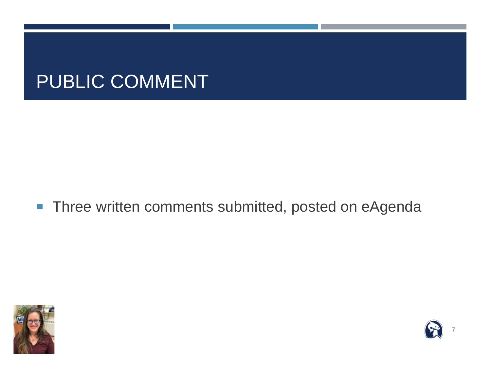#### PUBLIC COMMENT

■ Three written comments submitted, posted on eAgenda